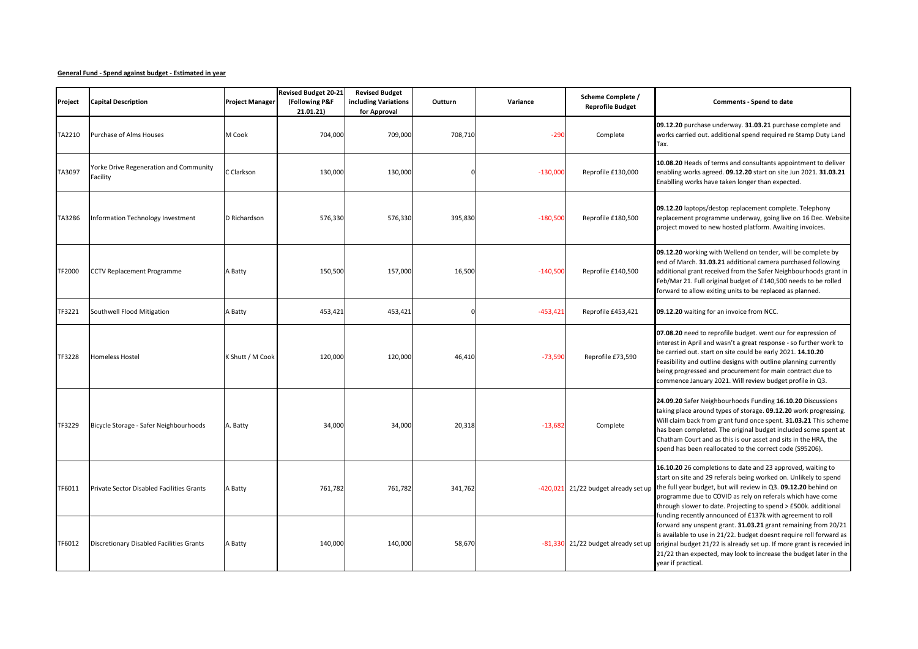## **General Fund - Spend against budget - Estimated in year**

| Project | <b>Capital Description</b>                         | <b>Project Manager</b> | <b>Revised Budget 20-21</b><br>(Following P&F<br>21.01.21) | <b>Revised Budget</b><br>including Variations<br>for Approval | Outturn | Variance   | Scheme Complete /<br><b>Reprofile Budget</b> | <b>Comments - Spend to date</b>                                                                                                                                                                                                                                                                                                                                                                     |
|---------|----------------------------------------------------|------------------------|------------------------------------------------------------|---------------------------------------------------------------|---------|------------|----------------------------------------------|-----------------------------------------------------------------------------------------------------------------------------------------------------------------------------------------------------------------------------------------------------------------------------------------------------------------------------------------------------------------------------------------------------|
| TA2210  | <b>Purchase of Alms Houses</b>                     | M Cook                 | 704,000                                                    | 709,000                                                       | 708,710 | $-290$     | Complete                                     | 09.12.20 purchase underway. 31.03.21 purchase complete and<br>works carried out. additional spend required re Stamp Duty Land<br>Tax.                                                                                                                                                                                                                                                               |
| TA3097  | Yorke Drive Regeneration and Community<br>Facility | C Clarkson             | 130,000                                                    | 130,000                                                       |         | $-130,000$ | Reprofile £130,000                           | 10.08.20 Heads of terms and consultants appointment to deliver<br>enabling works agreed. 09.12.20 start on site Jun 2021. 31.03.21<br>Enablling works have taken longer than expected.                                                                                                                                                                                                              |
| TA3286  | Information Technology Investment                  | D Richardson           | 576,330                                                    | 576,330                                                       | 395,830 | $-180,500$ | Reprofile £180,500                           | 09.12.20 laptops/destop replacement complete. Telephony<br>replacement programme underway, going live on 16 Dec. Website<br>project moved to new hosted platform. Awaiting invoices.                                                                                                                                                                                                                |
| TF2000  | CCTV Replacement Programme                         | A Batty                | 150,500                                                    | 157,000                                                       | 16,500  | $-140,500$ | Reprofile £140,500                           | 09.12.20 working with Wellend on tender, will be complete by<br>end of March. 31.03.21 additional camera purchased following<br>additional grant received from the Safer Neighbourhoods grant in<br>Feb/Mar 21. Full original budget of £140,500 needs to be rolled<br>forward to allow exiting units to be replaced as planned.                                                                    |
| TF3221  | Southwell Flood Mitigation                         | A Batty                | 453,421                                                    | 453,421                                                       |         | $-453,421$ | Reprofile £453,421                           | 09.12.20 waiting for an invoice from NCC.                                                                                                                                                                                                                                                                                                                                                           |
| TF3228  | <b>Homeless Hostel</b>                             | K Shutt / M Cook       | 120,000                                                    | 120,000                                                       | 46,410  | $-73,590$  | Reprofile £73,590                            | 07.08.20 need to reprofile budget. went our for expression of<br>interest in April and wasn't a great response - so further work to<br>be carried out. start on site could be early 2021. 14.10.20<br>Feasibility and outline designs with outline planning currently<br>being progressed and procurement for main contract due to<br>commence January 2021. Will review budget profile in Q3.      |
| TF3229  | Bicycle Storage - Safer Neighbourhoods             | A. Batty               | 34,000                                                     | 34,000                                                        | 20,318  | $-13,682$  | Complete                                     | 24.09.20 Safer Neighbourhoods Funding 16.10.20 Discussions<br>taking place around types of storage. 09.12.20 work progressing.<br>Will claim back from grant fund once spent. 31.03.21 This scheme<br>has been completed. The original budget included some spent at<br>Chatham Court and as this is our asset and sits in the HRA, the<br>spend has been reallocated to the correct code (S95206). |
| TF6011  | <b>Private Sector Disabled Facilities Grants</b>   | A Batty                | 761,782                                                    | 761,782                                                       | 341,762 |            | -420,021 21/22 budget already set up         | 16.10.20 26 completions to date and 23 approved, waiting to<br>start on site and 29 referals being worked on. Unlikely to spend<br>the full year budget, but will review in Q3. 09.12.20 behind on<br>programme due to COVID as rely on referals which have come<br>through slower to date. Projecting to spend > £500k. additional<br>funding recently announced of £137k with agreement to roll   |
| TF6012  | Discretionary Disabled Facilities Grants           | A Batty                | 140,000                                                    | 140,000                                                       | 58,670  |            |                                              | forward any unspent grant. 31.03.21 grant remaining from 20/21<br>is available to use in 21/22. budget doesnt require roll forward as<br>-81,330 21/22 budget already set up original budget 21/22 is already set up. If more grant is recevied in<br>21/22 than expected, may look to increase the budget later in the<br>year if practical.                                                       |